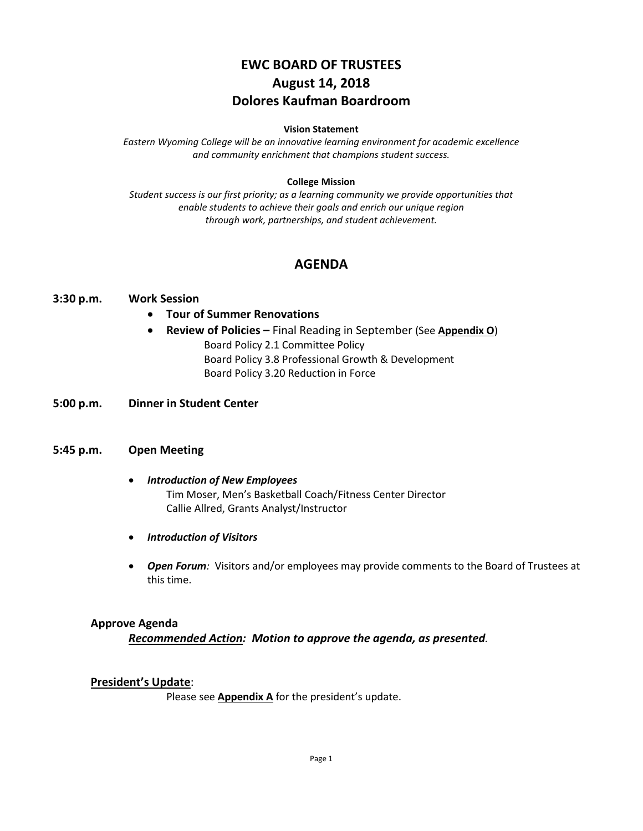# **EWC BOARD OF TRUSTEES August 14, 2018 Dolores Kaufman Boardroom**

#### **Vision Statement**

*Eastern Wyoming College will be an innovative learning environment for academic excellence and community enrichment that champions student success.*

#### **College Mission**

*Student success is our first priority; as a learning community we provide opportunities that enable students to achieve their goals and enrich our unique region through work, partnerships, and student achievement.*

# **AGENDA**

#### **3:30 p.m. Work Session**

- **Tour of Summer Renovations**
- **Review of Policies –** Final Reading in September (See **Appendix O**) Board Policy 2.1 Committee Policy Board Policy 3.8 Professional Growth & Development Board Policy 3.20 Reduction in Force
- **5:00 p.m. Dinner in Student Center**

#### **5:45 p.m. Open Meeting**

- *Introduction of New Employees* Tim Moser, Men's Basketball Coach/Fitness Center Director Callie Allred, Grants Analyst/Instructor
- *Introduction of Visitors*
- *Open Forum:* Visitors and/or employees may provide comments to the Board of Trustees at this time.

### **Approve Agenda**

*Recommended Action: Motion to approve the agenda, as presented.*

#### **President's Update**:

Please see **Appendix A** for the president's update.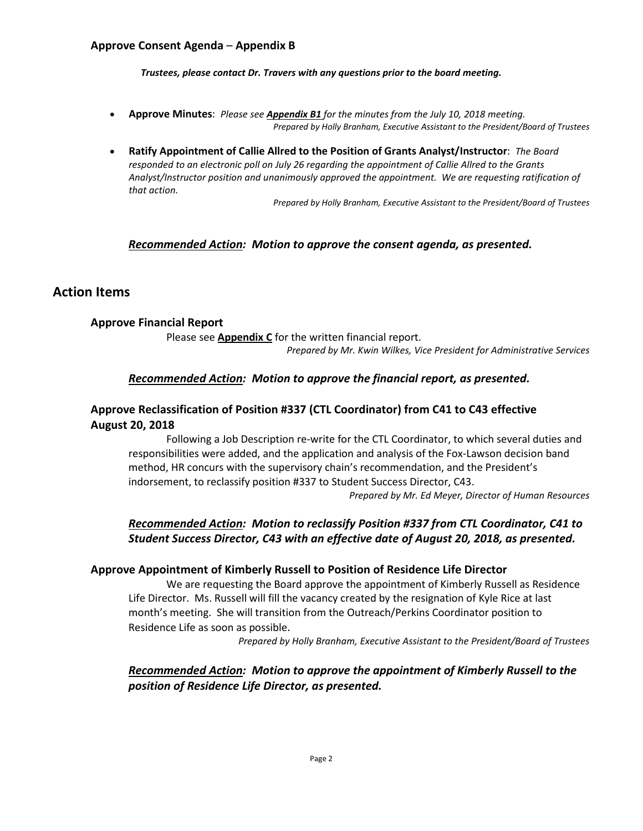### **Approve Consent Agenda** – **Appendix B**

*Trustees, please contact Dr. Travers with any questions prior to the board meeting.*

- **Approve Minutes**: *Please see Appendix B1 for the minutes from the July 10, 2018 meeting. Prepared by Holly Branham, Executive Assistant to the President/Board of Trustees*
- **Ratify Appointment of Callie Allred to the Position of Grants Analyst/Instructor**: *The Board responded to an electronic poll on July 26 regarding the appointment of Callie Allred to the Grants Analyst/Instructor position and unanimously approved the appointment. We are requesting ratification of that action.*

*Prepared by Holly Branham, Executive Assistant to the President/Board of Trustees*

### *Recommended Action: Motion to approve the consent agenda, as presented.*

### **Action Items**

### **Approve Financial Report**

Please see **Appendix C** for the written financial report. *Prepared by Mr. Kwin Wilkes, Vice President for Administrative Services*

### *Recommended Action: Motion to approve the financial report, as presented.*

## **Approve Reclassification of Position #337 (CTL Coordinator) from C41 to C43 effective August 20, 2018**

Following a Job Description re-write for the CTL Coordinator, to which several duties and responsibilities were added, and the application and analysis of the Fox-Lawson decision band method, HR concurs with the supervisory chain's recommendation, and the President's indorsement, to reclassify position #337 to Student Success Director, C43.

*Prepared by Mr. Ed Meyer, Director of Human Resources*

# *Recommended Action: Motion to reclassify Position #337 from CTL Coordinator, C41 to Student Success Director, C43 with an effective date of August 20, 2018, as presented.*

#### **Approve Appointment of Kimberly Russell to Position of Residence Life Director**

We are requesting the Board approve the appointment of Kimberly Russell as Residence Life Director. Ms. Russell will fill the vacancy created by the resignation of Kyle Rice at last month's meeting. She will transition from the Outreach/Perkins Coordinator position to Residence Life as soon as possible.

*Prepared by Holly Branham, Executive Assistant to the President/Board of Trustees*

# *Recommended Action: Motion to approve the appointment of Kimberly Russell to the position of Residence Life Director, as presented.*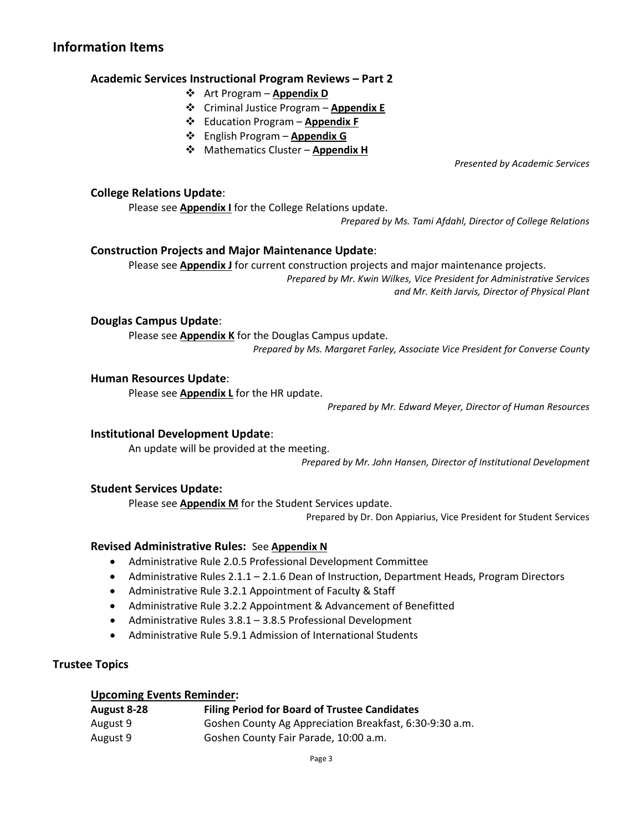# **Information Items**

### **Academic Services Instructional Program Reviews – Part 2**

- Art Program **Appendix D**
- Criminal Justice Program **Appendix E**
- Education Program **Appendix F**
- English Program **Appendix G**
- **☆** Mathematics Cluster **Appendix H**

*Presented by Academic Services*

## **College Relations Update**:

Please see **Appendix I** for the College Relations update.

*Prepared by Ms. Tami Afdahl, Director of College Relations*

### **Construction Projects and Major Maintenance Update**:

Please see **Appendix J** for current construction projects and major maintenance projects. *Prepared by Mr. Kwin Wilkes, Vice President for Administrative Services and Mr. Keith Jarvis, Director of Physical Plant*

**Douglas Campus Update**:

Please see **Appendix K** for the Douglas Campus update.

*Prepared by Ms. Margaret Farley, Associate Vice President for Converse County*

### **Human Resources Update**:

Please see **Appendix L** for the HR update.

*Prepared by Mr. Edward Meyer, Director of Human Resources*

### **Institutional Development Update**:

An update will be provided at the meeting. *Prepared by Mr. John Hansen, Director of Institutional Development*

### **Student Services Update:**

Please see **Appendix M** for the Student Services update.

Prepared by Dr. Don Appiarius, Vice President for Student Services

### **Revised Administrative Rules:** See **Appendix N**

- Administrative Rule 2.0.5 Professional Development Committee
- Administrative Rules 2.1.1 2.1.6 Dean of Instruction, Department Heads, Program Directors
- Administrative Rule 3.2.1 Appointment of Faculty & Staff
- Administrative Rule 3.2.2 Appointment & Advancement of Benefitted
- Administrative Rules 3.8.1 3.8.5 Professional Development
- Administrative Rule 5.9.1 Admission of International Students

### **Trustee Topics**

# **Upcoming Events Reminder:**

| August 8-28 | <b>Filing Period for Board of Trustee Candidates</b>    |
|-------------|---------------------------------------------------------|
| August 9    | Goshen County Ag Appreciation Breakfast, 6:30-9:30 a.m. |
| August 9    | Goshen County Fair Parade, 10:00 a.m.                   |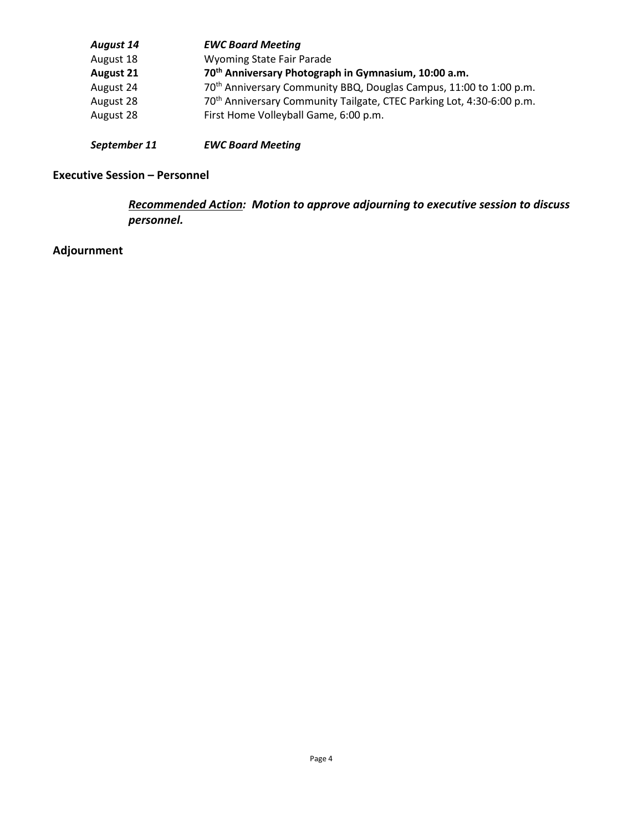| <b>August 14</b> | <b>EWC Board Meeting</b>                                                          |
|------------------|-----------------------------------------------------------------------------------|
| August 18        | <b>Wyoming State Fair Parade</b>                                                  |
| <b>August 21</b> | 70 <sup>th</sup> Anniversary Photograph in Gymnasium, 10:00 a.m.                  |
| August 24        | 70 <sup>th</sup> Anniversary Community BBQ, Douglas Campus, 11:00 to 1:00 p.m.    |
| August 28        | 70 <sup>th</sup> Anniversary Community Tailgate, CTEC Parking Lot, 4:30-6:00 p.m. |
| August 28        | First Home Volleyball Game, 6:00 p.m.                                             |
|                  |                                                                                   |

# *September 11 EWC Board Meeting*

# **Executive Session – Personnel**

*Recommended Action: Motion to approve adjourning to executive session to discuss personnel.*

# **Adjournment**